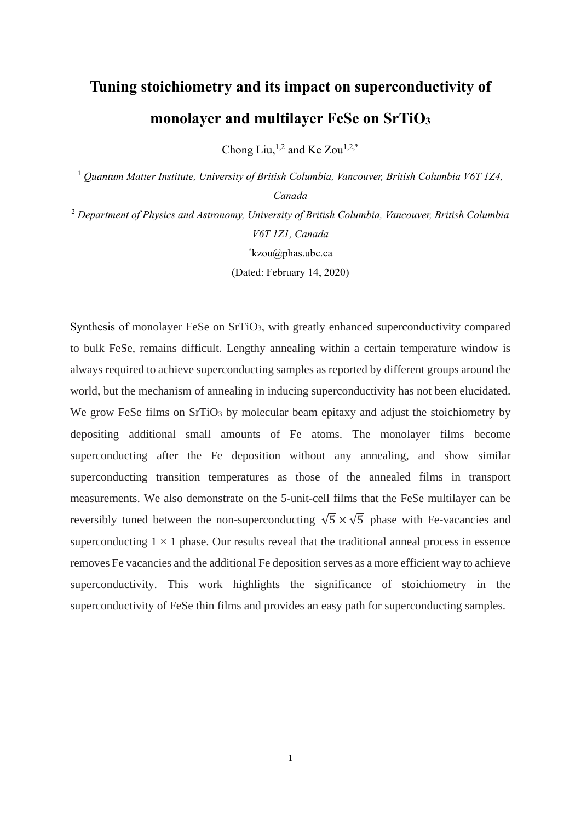## **Tuning stoichiometry and its impact on superconductivity of monolayer and multilayer FeSe on SrTiO<sup>3</sup>**

Chong Liu,  $1,2$  and Ke Zou $1,2,*$ 

<sup>1</sup> *Quantum Matter Institute, University of British Columbia, Vancouver, British Columbia V6T 1Z4, Canada*

<sup>2</sup> *Department of Physics and Astronomy, University of British Columbia, Vancouver, British Columbia V6T 1Z1, Canada* **\***kzou@phas.ubc.ca (Dated: February 14, 2020)

Synthesis of monolayer FeSe on SrTiO3, with greatly enhanced superconductivity compared to bulk FeSe, remains difficult. Lengthy annealing within a certain temperature window is always required to achieve superconducting samples as reported by different groups around the world, but the mechanism of annealing in inducing superconductivity has not been elucidated. We grow FeSe films on SrTiO<sub>3</sub> by molecular beam epitaxy and adjust the stoichiometry by depositing additional small amounts of Fe atoms. The monolayer films become superconducting after the Fe deposition without any annealing, and show similar superconducting transition temperatures as those of the annealed films in transport measurements. We also demonstrate on the 5-unit-cell films that the FeSe multilayer can be reversibly tuned between the non-superconducting  $\sqrt{5} \times \sqrt{5}$  phase with Fe-vacancies and superconducting  $1 \times 1$  phase. Our results reveal that the traditional anneal process in essence removes Fe vacancies and the additional Fe deposition serves as a more efficient way to achieve superconductivity. This work highlights the significance of stoichiometry in the superconductivity of FeSe thin films and provides an easy path for superconducting samples.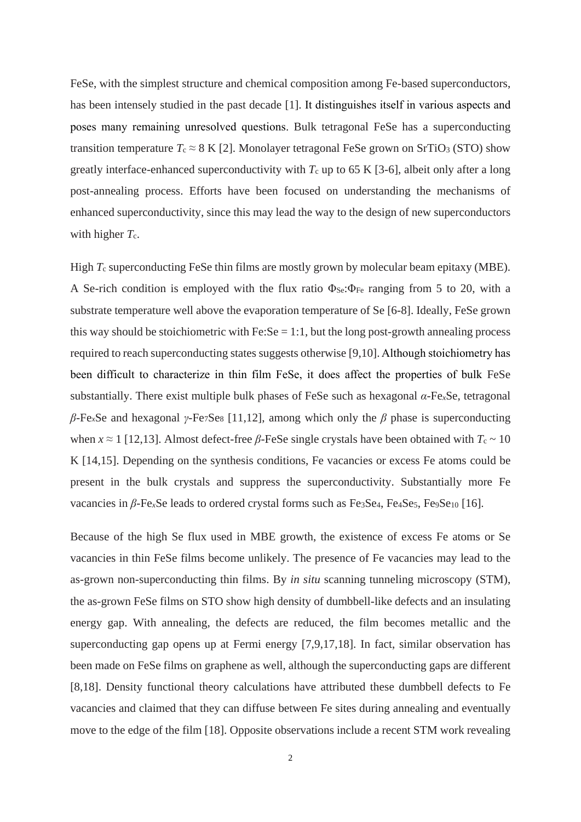FeSe, with the simplest structure and chemical composition among Fe-based superconductors, has been intensely studied in the past decade [1]. It distinguishes itself in various aspects and poses many remaining unresolved questions. Bulk tetragonal FeSe has a superconducting transition temperature  $T_c \approx 8$  K [2]. Monolayer tetragonal FeSe grown on SrTiO<sub>3</sub> (STO) show greatly interface-enhanced superconductivity with  $T_c$  up to 65 K [3-6], albeit only after a long post-annealing process. Efforts have been focused on understanding the mechanisms of enhanced superconductivity, since this may lead the way to the design of new superconductors with higher  $T_c$ .

High *T<sub>c</sub>* superconducting FeSe thin films are mostly grown by molecular beam epitaxy (MBE). A Se-rich condition is employed with the flux ratio  $\Phi_{\text{Se}}:\Phi_{\text{Fe}}$  ranging from 5 to 20, with a substrate temperature well above the evaporation temperature of Se [6-8]. Ideally, FeSe grown this way should be stoichiometric with  $Fe: Se = 1:1$ , but the long post-growth annealing process required to reach superconducting states suggests otherwise [9,10]. Although stoichiometry has been difficult to characterize in thin film FeSe, it does affect the properties of bulk FeSe substantially. There exist multiple bulk phases of FeSe such as hexagonal *α*-Fe*x*Se, tetragonal *β*-Fe*x*Se and hexagonal *γ*-Fe7Se<sup>8</sup> [11,12], among which only the *β* phase is superconducting when  $x \approx 1$  [12,13]. Almost defect-free  $\beta$ -FeSe single crystals have been obtained with  $T_c \sim 10$ K [14,15]. Depending on the synthesis conditions, Fe vacancies or excess Fe atoms could be present in the bulk crystals and suppress the superconductivity. Substantially more Fe vacancies in *β*-Fe<sub>*x*</sub>Se leads to ordered crystal forms such as Fe<sub>3</sub>Se<sub>4</sub>, Fe<sub>4</sub>Se<sub>5</sub>, Fe<sub>9</sub>Se<sub>10</sub> [16].

Because of the high Se flux used in MBE growth, the existence of excess Fe atoms or Se vacancies in thin FeSe films become unlikely. The presence of Fe vacancies may lead to the as-grown non-superconducting thin films. By *in situ* scanning tunneling microscopy (STM), the as-grown FeSe films on STO show high density of dumbbell-like defects and an insulating energy gap. With annealing, the defects are reduced, the film becomes metallic and the superconducting gap opens up at Fermi energy [7,9,17,18]. In fact, similar observation has been made on FeSe films on graphene as well, although the superconducting gaps are different [8,18]. Density functional theory calculations have attributed these dumbbell defects to Fe vacancies and claimed that they can diffuse between Fe sites during annealing and eventually move to the edge of the film [18]. Opposite observations include a recent STM work revealing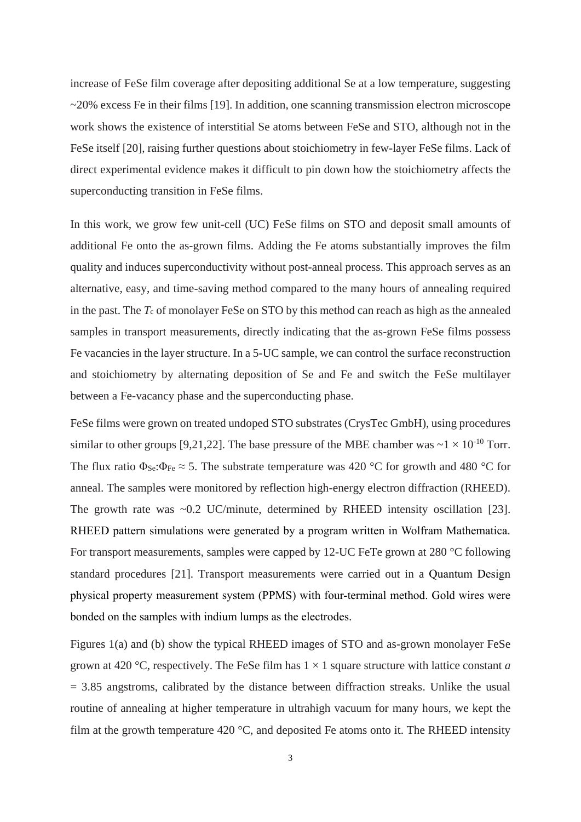increase of FeSe film coverage after depositing additional Se at a low temperature, suggesting  $\sim$ 20% excess Fe in their films [19]. In addition, one scanning transmission electron microscope work shows the existence of interstitial Se atoms between FeSe and STO, although not in the FeSe itself [20], raising further questions about stoichiometry in few-layer FeSe films. Lack of direct experimental evidence makes it difficult to pin down how the stoichiometry affects the superconducting transition in FeSe films.

In this work, we grow few unit-cell (UC) FeSe films on STO and deposit small amounts of additional Fe onto the as-grown films. Adding the Fe atoms substantially improves the film quality and induces superconductivity without post-anneal process. This approach serves as an alternative, easy, and time-saving method compared to the many hours of annealing required in the past. The *T*<sup>c</sup> of monolayer FeSe on STO by this method can reach as high as the annealed samples in transport measurements, directly indicating that the as-grown FeSe films possess Fe vacancies in the layer structure. In a 5-UC sample, we can control the surface reconstruction and stoichiometry by alternating deposition of Se and Fe and switch the FeSe multilayer between a Fe-vacancy phase and the superconducting phase.

FeSe films were grown on treated undoped STO substrates (CrysTec GmbH), using procedures similar to other groups [9,21,22]. The base pressure of the MBE chamber was  $\sim 1 \times 10^{-10}$  Torr. The flux ratio  $\Phi_{\text{Se}}:\Phi_{\text{Fe}} \approx 5$ . The substrate temperature was 420 °C for growth and 480 °C for anneal. The samples were monitored by reflection high-energy electron diffraction (RHEED). The growth rate was ~0.2 UC/minute, determined by RHEED intensity oscillation [23]. RHEED pattern simulations were generated by a program written in Wolfram Mathematica. For transport measurements, samples were capped by 12-UC FeTe grown at 280 °C following standard procedures [21]. Transport measurements were carried out in a Quantum Design physical property measurement system (PPMS) with four-terminal method. Gold wires were bonded on the samples with indium lumps as the electrodes.

Figures 1(a) and (b) show the typical RHEED images of STO and as-grown monolayer FeSe grown at 420 °C, respectively. The FeSe film has  $1 \times 1$  square structure with lattice constant *a*  $= 3.85$  angstroms, calibrated by the distance between diffraction streaks. Unlike the usual routine of annealing at higher temperature in ultrahigh vacuum for many hours, we kept the film at the growth temperature 420  $\degree$ C, and deposited Fe atoms onto it. The RHEED intensity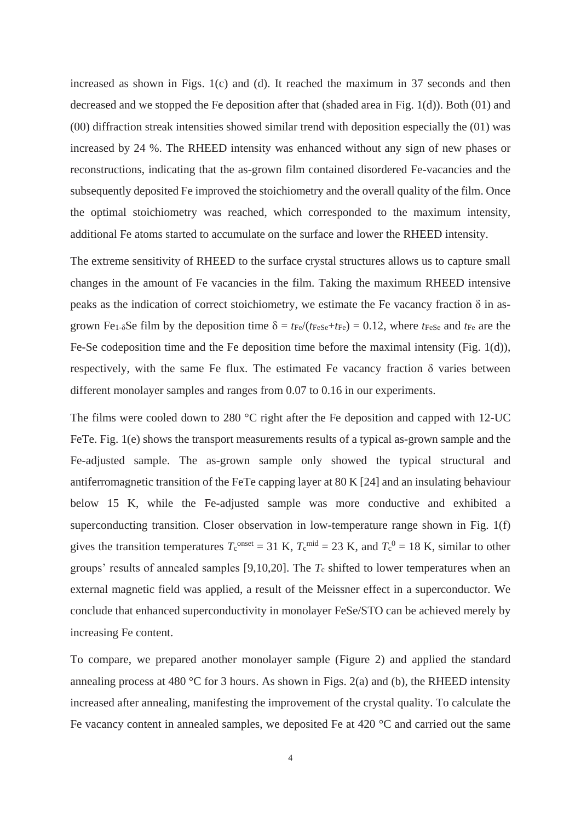increased as shown in Figs. 1(c) and (d). It reached the maximum in 37 seconds and then decreased and we stopped the Fe deposition after that (shaded area in Fig. 1(d)). Both (01) and (00) diffraction streak intensities showed similar trend with deposition especially the (01) was increased by 24 %. The RHEED intensity was enhanced without any sign of new phases or reconstructions, indicating that the as-grown film contained disordered Fe-vacancies and the subsequently deposited Fe improved the stoichiometry and the overall quality of the film. Once the optimal stoichiometry was reached, which corresponded to the maximum intensity, additional Fe atoms started to accumulate on the surface and lower the RHEED intensity.

The extreme sensitivity of RHEED to the surface crystal structures allows us to capture small changes in the amount of Fe vacancies in the film. Taking the maximum RHEED intensive peaks as the indication of correct stoichiometry, we estimate the Fe vacancy fraction  $\delta$  in asgrown Fe<sub>1-</sub> $\delta$ Se film by the deposition time  $\delta = t_{Fe}/(t_{FeSe} + t_{Fe}) = 0.12$ , where  $t_{FeSe}$  and  $t_{Fe}$  are the Fe-Se codeposition time and the Fe deposition time before the maximal intensity (Fig. 1(d)), respectively, with the same Fe flux. The estimated Fe vacancy fraction  $\delta$  varies between different monolayer samples and ranges from 0.07 to 0.16 in our experiments.

The films were cooled down to 280 °C right after the Fe deposition and capped with 12-UC FeTe. Fig. 1(e) shows the transport measurements results of a typical as-grown sample and the Fe-adjusted sample. The as-grown sample only showed the typical structural and antiferromagnetic transition of the FeTe capping layer at 80 K [24] and an insulating behaviour below 15 K, while the Fe-adjusted sample was more conductive and exhibited a superconducting transition. Closer observation in low-temperature range shown in Fig. 1(f) gives the transition temperatures  $T_c^{\text{onset}} = 31 \text{ K}$ ,  $T_c^{\text{mid}} = 23 \text{ K}$ , and  $T_c^0 = 18 \text{ K}$ , similar to other groups' results of annealed samples [9,10,20]. The *T*<sup>c</sup> shifted to lower temperatures when an external magnetic field was applied, a result of the Meissner effect in a superconductor. We conclude that enhanced superconductivity in monolayer FeSe/STO can be achieved merely by increasing Fe content.

To compare, we prepared another monolayer sample (Figure 2) and applied the standard annealing process at 480 °C for 3 hours. As shown in Figs. 2(a) and (b), the RHEED intensity increased after annealing, manifesting the improvement of the crystal quality. To calculate the Fe vacancy content in annealed samples, we deposited Fe at 420 °C and carried out the same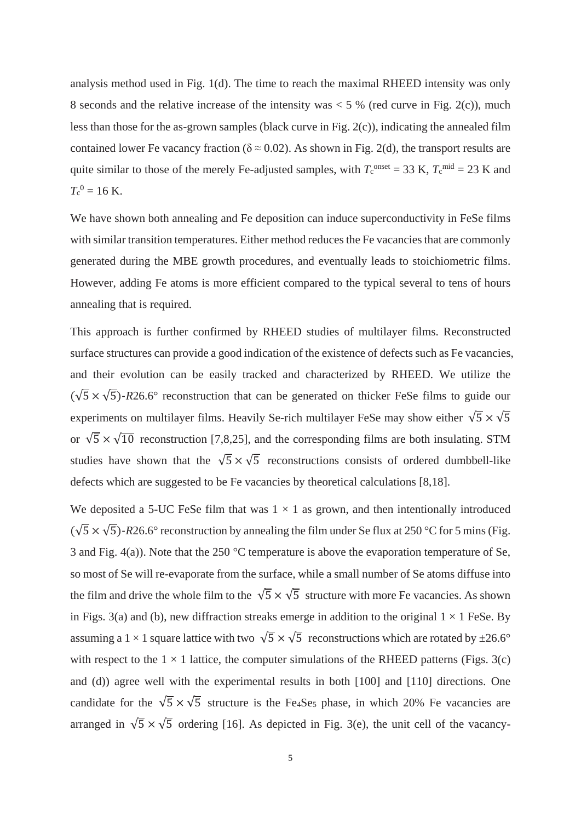analysis method used in Fig. 1(d). The time to reach the maximal RHEED intensity was only 8 seconds and the relative increase of the intensity was  $<$  5 % (red curve in Fig. 2(c)), much less than those for the as-grown samples (black curve in Fig. 2(c)), indicating the annealed film contained lower Fe vacancy fraction ( $\delta \approx 0.02$ ). As shown in Fig. 2(d), the transport results are quite similar to those of the merely Fe-adjusted samples, with  $T_c^{\text{onset}} = 33$  K,  $T_c^{\text{mid}} = 23$  K and  $T_c^0 = 16$  K.

We have shown both annealing and Fe deposition can induce superconductivity in FeSe films with similar transition temperatures. Either method reduces the Fe vacancies that are commonly generated during the MBE growth procedures, and eventually leads to stoichiometric films. However, adding Fe atoms is more efficient compared to the typical several to tens of hours annealing that is required.

This approach is further confirmed by RHEED studies of multilayer films. Reconstructed surface structures can provide a good indication of the existence of defects such as Fe vacancies, and their evolution can be easily tracked and characterized by RHEED. We utilize the  $(\sqrt{5} \times \sqrt{5})$ -R26.6° reconstruction that can be generated on thicker FeSe films to guide our experiments on multilayer films. Heavily Se-rich multilayer FeSe may show either  $\sqrt{5} \times \sqrt{5}$ or  $\sqrt{5} \times \sqrt{10}$  reconstruction [7,8,25], and the corresponding films are both insulating. STM studies have shown that the  $\sqrt{5} \times \sqrt{5}$  reconstructions consists of ordered dumbbell-like defects which are suggested to be Fe vacancies by theoretical calculations [8,18].

We deposited a 5-UC FeSe film that was  $1 \times 1$  as grown, and then intentionally introduced  $(\sqrt{5} \times \sqrt{5})$ -R26.6° reconstruction by annealing the film under Se flux at 250 °C for 5 mins (Fig. 3 and Fig. 4(a)). Note that the 250 °C temperature is above the evaporation temperature of Se, so most of Se will re-evaporate from the surface, while a small number of Se atoms diffuse into the film and drive the whole film to the  $\sqrt{5} \times \sqrt{5}$  structure with more Fe vacancies. As shown in Figs. 3(a) and (b), new diffraction streaks emerge in addition to the original  $1 \times 1$  FeSe. By assuming a 1 × 1 square lattice with two  $\sqrt{5} \times \sqrt{5}$  reconstructions which are rotated by  $\pm 26.6^{\circ}$ with respect to the  $1 \times 1$  lattice, the computer simulations of the RHEED patterns (Figs. 3(c) and (d)) agree well with the experimental results in both [100] and [110] directions. One candidate for the  $\sqrt{5} \times \sqrt{5}$  structure is the Fe4Se5 phase, in which 20% Fe vacancies are arranged in  $\sqrt{5} \times \sqrt{5}$  ordering [16]. As depicted in Fig. 3(e), the unit cell of the vacancy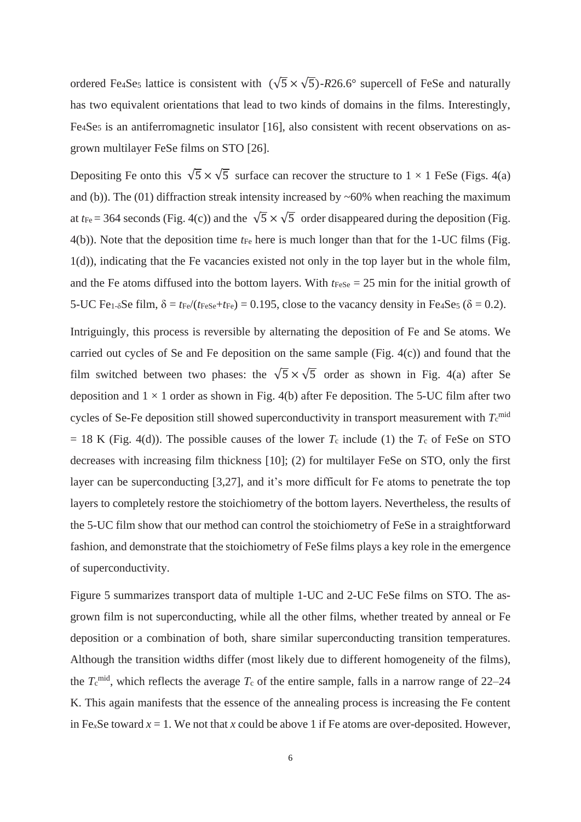ordered Fe<sub>4</sub>Se<sub>5</sub> lattice is consistent with  $(\sqrt{5} \times \sqrt{5})$ -*R*26.6° supercell of FeSe and naturally has two equivalent orientations that lead to two kinds of domains in the films. Interestingly, Fe<sub>4</sub>Se<sub>5</sub> is an antiferromagnetic insulator [16], also consistent with recent observations on asgrown multilayer FeSe films on STO [26].

Depositing Fe onto this  $\sqrt{5} \times \sqrt{5}$  surface can recover the structure to  $1 \times 1$  FeSe (Figs. 4(a) and (b)). The (01) diffraction streak intensity increased by  $~60\%$  when reaching the maximum at  $t_{\text{Fe}}$  = 364 seconds (Fig. 4(c)) and the  $\sqrt{5} \times \sqrt{5}$  order disappeared during the deposition (Fig. 4(b)). Note that the deposition time *t*Fe here is much longer than that for the 1-UC films (Fig. 1(d)), indicating that the Fe vacancies existed not only in the top layer but in the whole film, and the Fe atoms diffused into the bottom layers. With  $t_{\text{FeSe}} = 25$  min for the initial growth of 5-UC Fe<sub>1- $\delta$ </sub>Se film,  $\delta = t_{Fe}/(t_{FeSe} + t_{Fe}) = 0.195$ , close to the vacancy density in Fe<sub>4</sub>Se<sub>5</sub> ( $\delta = 0.2$ ).

Intriguingly, this process is reversible by alternating the deposition of Fe and Se atoms. We carried out cycles of Se and Fe deposition on the same sample (Fig. 4(c)) and found that the film switched between two phases: the  $\sqrt{5} \times \sqrt{5}$  order as shown in Fig. 4(a) after Se deposition and  $1 \times 1$  order as shown in Fig. 4(b) after Fe deposition. The 5-UC film after two cycles of Se-Fe deposition still showed superconductivity in transport measurement with  $T_c^{\text{mid}}$  $= 18$  K (Fig. 4(d)). The possible causes of the lower  $T_c$  include (1) the  $T_c$  of FeSe on STO decreases with increasing film thickness [10]; (2) for multilayer FeSe on STO, only the first layer can be superconducting [3,27], and it's more difficult for Fe atoms to penetrate the top layers to completely restore the stoichiometry of the bottom layers. Nevertheless, the results of the 5-UC film show that our method can control the stoichiometry of FeSe in a straightforward fashion, and demonstrate that the stoichiometry of FeSe films plays a key role in the emergence of superconductivity.

Figure 5 summarizes transport data of multiple 1-UC and 2-UC FeSe films on STO. The asgrown film is not superconducting, while all the other films, whether treated by anneal or Fe deposition or a combination of both, share similar superconducting transition temperatures. Although the transition widths differ (most likely due to different homogeneity of the films), the  $T_c^{\text{mid}}$ , which reflects the average  $T_c$  of the entire sample, falls in a narrow range of 22–24 K. This again manifests that the essence of the annealing process is increasing the Fe content in Fe<sub>*x*</sub>Se toward  $x = 1$ . We not that *x* could be above 1 if Fe atoms are over-deposited. However,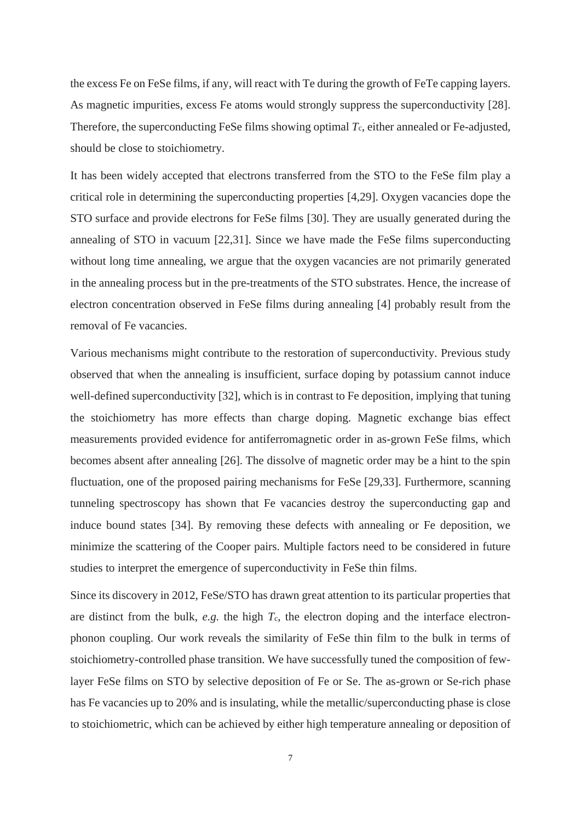the excess Fe on FeSe films, if any, will react with Te during the growth of FeTe capping layers. As magnetic impurities, excess Fe atoms would strongly suppress the superconductivity [28]. Therefore, the superconducting FeSe films showing optimal  $T_c$ , either annealed or Fe-adjusted, should be close to stoichiometry.

It has been widely accepted that electrons transferred from the STO to the FeSe film play a critical role in determining the superconducting properties [4,29]. Oxygen vacancies dope the STO surface and provide electrons for FeSe films [30]. They are usually generated during the annealing of STO in vacuum [22,31]. Since we have made the FeSe films superconducting without long time annealing, we argue that the oxygen vacancies are not primarily generated in the annealing process but in the pre-treatments of the STO substrates. Hence, the increase of electron concentration observed in FeSe films during annealing [4] probably result from the removal of Fe vacancies.

Various mechanisms might contribute to the restoration of superconductivity. Previous study observed that when the annealing is insufficient, surface doping by potassium cannot induce well-defined superconductivity [32], which is in contrast to Fe deposition, implying that tuning the stoichiometry has more effects than charge doping. Magnetic exchange bias effect measurements provided evidence for antiferromagnetic order in as-grown FeSe films, which becomes absent after annealing [26]. The dissolve of magnetic order may be a hint to the spin fluctuation, one of the proposed pairing mechanisms for FeSe [29,33]. Furthermore, scanning tunneling spectroscopy has shown that Fe vacancies destroy the superconducting gap and induce bound states [34]. By removing these defects with annealing or Fe deposition, we minimize the scattering of the Cooper pairs. Multiple factors need to be considered in future studies to interpret the emergence of superconductivity in FeSe thin films.

Since its discovery in 2012, FeSe/STO has drawn great attention to its particular properties that are distinct from the bulk, *e.g.* the high *T*c, the electron doping and the interface electronphonon coupling. Our work reveals the similarity of FeSe thin film to the bulk in terms of stoichiometry-controlled phase transition. We have successfully tuned the composition of fewlayer FeSe films on STO by selective deposition of Fe or Se. The as-grown or Se-rich phase has Fe vacancies up to 20% and is insulating, while the metallic/superconducting phase is close to stoichiometric, which can be achieved by either high temperature annealing or deposition of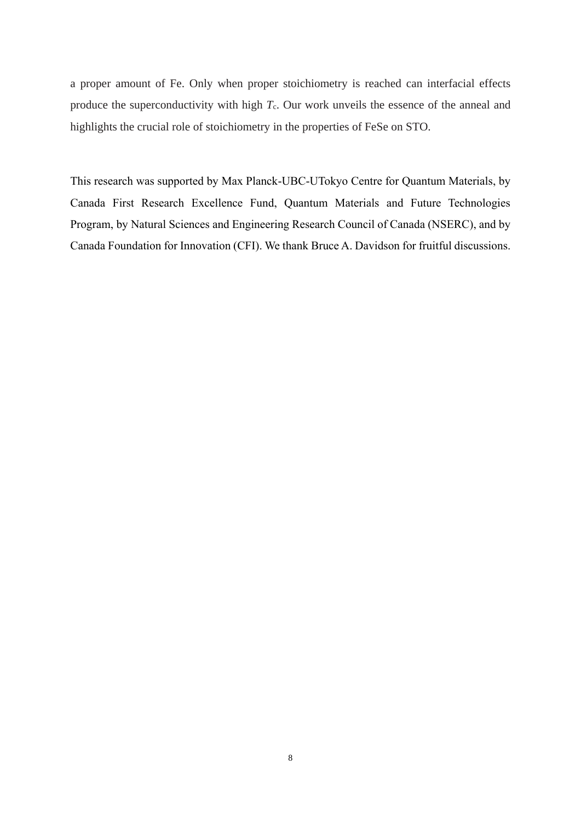a proper amount of Fe. Only when proper stoichiometry is reached can interfacial effects produce the superconductivity with high *T<sub>c</sub>*. Our work unveils the essence of the anneal and highlights the crucial role of stoichiometry in the properties of FeSe on STO.

This research was supported by Max Planck-UBC-UTokyo Centre for Quantum Materials, by Canada First Research Excellence Fund, Quantum Materials and Future Technologies Program, by Natural Sciences and Engineering Research Council of Canada (NSERC), and by Canada Foundation for Innovation (CFI). We thank Bruce A. Davidson for fruitful discussions.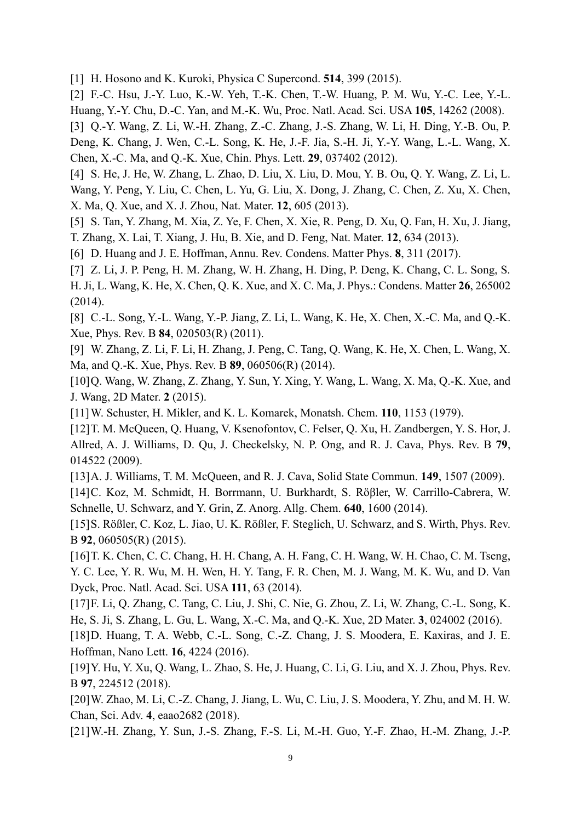[1] H. Hosono and K. Kuroki, Physica C Supercond. **514**, 399 (2015).

[2] F.-C. Hsu, J.-Y. Luo, K.-W. Yeh, T.-K. Chen, T.-W. Huang, P. M. Wu, Y.-C. Lee, Y.-L. Huang, Y.-Y. Chu, D.-C. Yan, and M.-K. Wu, Proc. Natl. Acad. Sci. USA **105**, 14262 (2008).

[3] Q.-Y. Wang, Z. Li, W.-H. Zhang, Z.-C. Zhang, J.-S. Zhang, W. Li, H. Ding, Y.-B. Ou, P.

Deng, K. Chang, J. Wen, C.-L. Song, K. He, J.-F. Jia, S.-H. Ji, Y.-Y. Wang, L.-L. Wang, X. Chen, X.-C. Ma, and Q.-K. Xue, Chin. Phys. Lett. **29**, 037402 (2012).

[4] S. He, J. He, W. Zhang, L. Zhao, D. Liu, X. Liu, D. Mou, Y. B. Ou, Q. Y. Wang, Z. Li, L. Wang, Y. Peng, Y. Liu, C. Chen, L. Yu, G. Liu, X. Dong, J. Zhang, C. Chen, Z. Xu, X. Chen, X. Ma, Q. Xue, and X. J. Zhou, Nat. Mater. **12**, 605 (2013).

[5] S. Tan, Y. Zhang, M. Xia, Z. Ye, F. Chen, X. Xie, R. Peng, D. Xu, Q. Fan, H. Xu, J. Jiang, T. Zhang, X. Lai, T. Xiang, J. Hu, B. Xie, and D. Feng, Nat. Mater. **12**, 634 (2013).

[6] D. Huang and J. E. Hoffman, Annu. Rev. Condens. Matter Phys. **8**, 311 (2017).

[7] Z. Li, J. P. Peng, H. M. Zhang, W. H. Zhang, H. Ding, P. Deng, K. Chang, C. L. Song, S. H. Ji, L. Wang, K. He, X. Chen, Q. K. Xue, and X. C. Ma, J. Phys.: Condens. Matter **26**, 265002 (2014).

[8] C.-L. Song, Y.-L. Wang, Y.-P. Jiang, Z. Li, L. Wang, K. He, X. Chen, X.-C. Ma, and Q.-K. Xue, Phys. Rev. B **84**, 020503(R) (2011).

[9] W. Zhang, Z. Li, F. Li, H. Zhang, J. Peng, C. Tang, Q. Wang, K. He, X. Chen, L. Wang, X. Ma, and Q.-K. Xue, Phys. Rev. B **89**, 060506(R) (2014).

[10]Q. Wang, W. Zhang, Z. Zhang, Y. Sun, Y. Xing, Y. Wang, L. Wang, X. Ma, Q.-K. Xue, and J. Wang, 2D Mater. **2** (2015).

[11]W. Schuster, H. Mikler, and K. L. Komarek, Monatsh. Chem. **110**, 1153 (1979).

[12]T. M. McQueen, Q. Huang, V. Ksenofontov, C. Felser, Q. Xu, H. Zandbergen, Y. S. Hor, J. Allred, A. J. Williams, D. Qu, J. Checkelsky, N. P. Ong, and R. J. Cava, Phys. Rev. B **79**, 014522 (2009).

[13]A. J. Williams, T. M. McQueen, and R. J. Cava, Solid State Commun. **149**, 1507 (2009).

[14]C. Koz, M. Schmidt, H. Borrmann, U. Burkhardt, S. Röβler, W. Carrillo-Cabrera, W. Schnelle, U. Schwarz, and Y. Grin, Z. Anorg. Allg. Chem. **640**, 1600 (2014).

[15]S. Rößler, C. Koz, L. Jiao, U. K. Rößler, F. Steglich, U. Schwarz, and S. Wirth, Phys. Rev. B **92**, 060505(R) (2015).

[16]T. K. Chen, C. C. Chang, H. H. Chang, A. H. Fang, C. H. Wang, W. H. Chao, C. M. Tseng, Y. C. Lee, Y. R. Wu, M. H. Wen, H. Y. Tang, F. R. Chen, M. J. Wang, M. K. Wu, and D. Van Dyck, Proc. Natl. Acad. Sci. USA **111**, 63 (2014).

[17]F. Li, Q. Zhang, C. Tang, C. Liu, J. Shi, C. Nie, G. Zhou, Z. Li, W. Zhang, C.-L. Song, K. He, S. Ji, S. Zhang, L. Gu, L. Wang, X.-C. Ma, and Q.-K. Xue, 2D Mater. **3**, 024002 (2016).

[18] D. Huang, T. A. Webb, C.-L. Song, C.-Z. Chang, J. S. Moodera, E. Kaxiras, and J. E. Hoffman, Nano Lett. **16**, 4224 (2016).

[19]Y. Hu, Y. Xu, Q. Wang, L. Zhao, S. He, J. Huang, C. Li, G. Liu, and X. J. Zhou, Phys. Rev. B **97**, 224512 (2018).

[20]W. Zhao, M. Li, C.-Z. Chang, J. Jiang, L. Wu, C. Liu, J. S. Moodera, Y. Zhu, and M. H. W. Chan, Sci. Adv. **4**, eaao2682 (2018).

[21]W.-H. Zhang, Y. Sun, J.-S. Zhang, F.-S. Li, M.-H. Guo, Y.-F. Zhao, H.-M. Zhang, J.-P.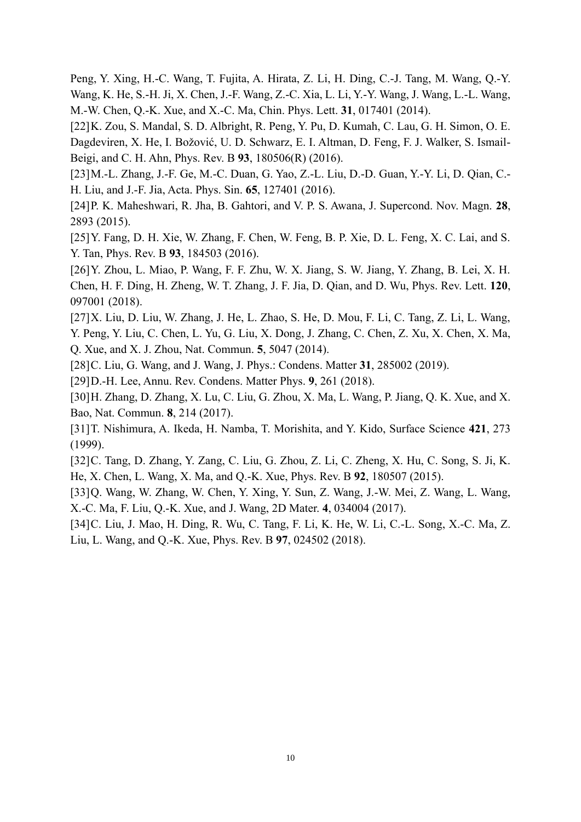Peng, Y. Xing, H.-C. Wang, T. Fujita, A. Hirata, Z. Li, H. Ding, C.-J. Tang, M. Wang, Q.-Y. Wang, K. He, S.-H. Ji, X. Chen, J.-F. Wang, Z.-C. Xia, L. Li, Y.-Y. Wang, J. Wang, L.-L. Wang, M.-W. Chen, Q.-K. Xue, and X.-C. Ma, Chin. Phys. Lett. **31**, 017401 (2014).

[22]K. Zou, S. Mandal, S. D. Albright, R. Peng, Y. Pu, D. Kumah, C. Lau, G. H. Simon, O. E. Dagdeviren, X. He, I. Božović, U. D. Schwarz, E. I. Altman, D. Feng, F. J. Walker, S. Ismail-Beigi, and C. H. Ahn, Phys. Rev. B **93**, 180506(R) (2016).

[23]M.-L. Zhang, J.-F. Ge, M.-C. Duan, G. Yao, Z.-L. Liu, D.-D. Guan, Y.-Y. Li, D. Qian, C.- H. Liu, and J.-F. Jia, Acta. Phys. Sin. **65**, 127401 (2016).

[24]P. K. Maheshwari, R. Jha, B. Gahtori, and V. P. S. Awana, J. Supercond. Nov. Magn. **28**, 2893 (2015).

[25]Y. Fang, D. H. Xie, W. Zhang, F. Chen, W. Feng, B. P. Xie, D. L. Feng, X. C. Lai, and S. Y. Tan, Phys. Rev. B **93**, 184503 (2016).

[26]Y. Zhou, L. Miao, P. Wang, F. F. Zhu, W. X. Jiang, S. W. Jiang, Y. Zhang, B. Lei, X. H. Chen, H. F. Ding, H. Zheng, W. T. Zhang, J. F. Jia, D. Qian, and D. Wu, Phys. Rev. Lett. **120**, 097001 (2018).

[27]X. Liu, D. Liu, W. Zhang, J. He, L. Zhao, S. He, D. Mou, F. Li, C. Tang, Z. Li, L. Wang, Y. Peng, Y. Liu, C. Chen, L. Yu, G. Liu, X. Dong, J. Zhang, C. Chen, Z. Xu, X. Chen, X. Ma, Q. Xue, and X. J. Zhou, Nat. Commun. **5**, 5047 (2014).

[28]C. Liu, G. Wang, and J. Wang, J. Phys.: Condens. Matter **31**, 285002 (2019).

[29]D.-H. Lee, Annu. Rev. Condens. Matter Phys. **9**, 261 (2018).

[30]H. Zhang, D. Zhang, X. Lu, C. Liu, G. Zhou, X. Ma, L. Wang, P. Jiang, Q. K. Xue, and X. Bao, Nat. Commun. **8**, 214 (2017).

[31]T. Nishimura, A. Ikeda, H. Namba, T. Morishita, and Y. Kido, Surface Science **421**, 273 (1999).

[32]C. Tang, D. Zhang, Y. Zang, C. Liu, G. Zhou, Z. Li, C. Zheng, X. Hu, C. Song, S. Ji, K. He, X. Chen, L. Wang, X. Ma, and Q.-K. Xue, Phys. Rev. B **92**, 180507 (2015).

[33]Q. Wang, W. Zhang, W. Chen, Y. Xing, Y. Sun, Z. Wang, J.-W. Mei, Z. Wang, L. Wang, X.-C. Ma, F. Liu, Q.-K. Xue, and J. Wang, 2D Mater. **4**, 034004 (2017).

[34]C. Liu, J. Mao, H. Ding, R. Wu, C. Tang, F. Li, K. He, W. Li, C.-L. Song, X.-C. Ma, Z. Liu, L. Wang, and Q.-K. Xue, Phys. Rev. B **97**, 024502 (2018).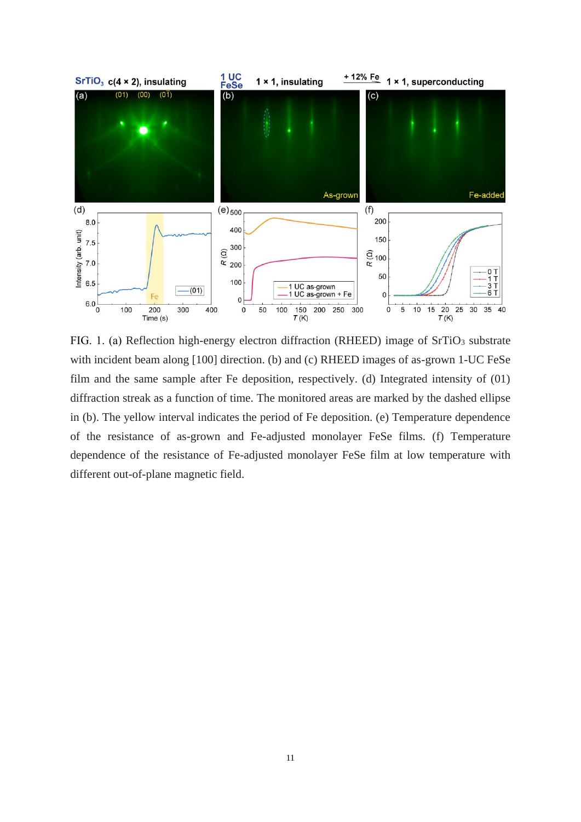

FIG. 1. (a) Reflection high-energy electron diffraction (RHEED) image of SrTiO<sub>3</sub> substrate with incident beam along [100] direction. (b) and (c) RHEED images of as-grown 1-UC FeSe film and the same sample after Fe deposition, respectively. (d) Integrated intensity of (01) diffraction streak as a function of time. The monitored areas are marked by the dashed ellipse in (b). The yellow interval indicates the period of Fe deposition. (e) Temperature dependence of the resistance of as-grown and Fe-adjusted monolayer FeSe films. (f) Temperature dependence of the resistance of Fe-adjusted monolayer FeSe film at low temperature with different out-of-plane magnetic field.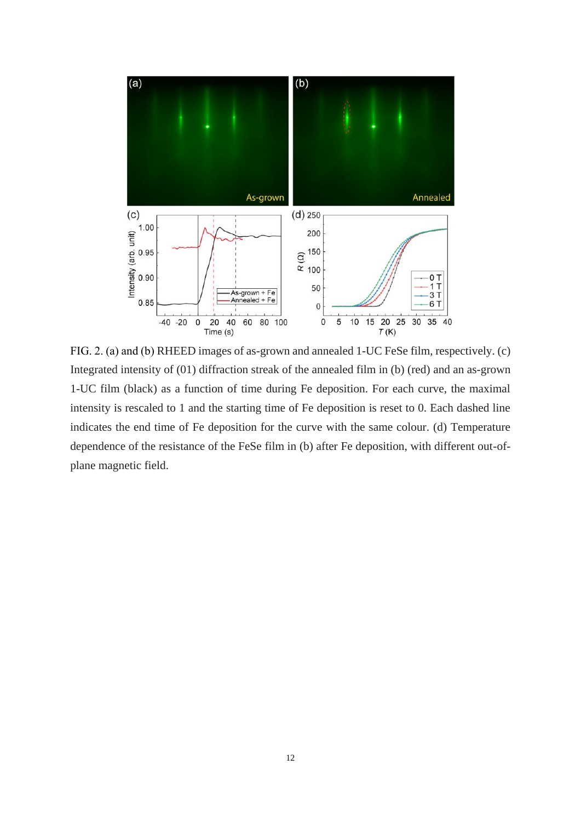

FIG. 2. (a) and (b) RHEED images of as-grown and annealed 1-UC FeSe film, respectively. (c) Integrated intensity of (01) diffraction streak of the annealed film in (b) (red) and an as-grown 1-UC film (black) as a function of time during Fe deposition. For each curve, the maximal intensity is rescaled to 1 and the starting time of Fe deposition is reset to 0. Each dashed line indicates the end time of Fe deposition for the curve with the same colour. (d) Temperature dependence of the resistance of the FeSe film in (b) after Fe deposition, with different out-ofplane magnetic field.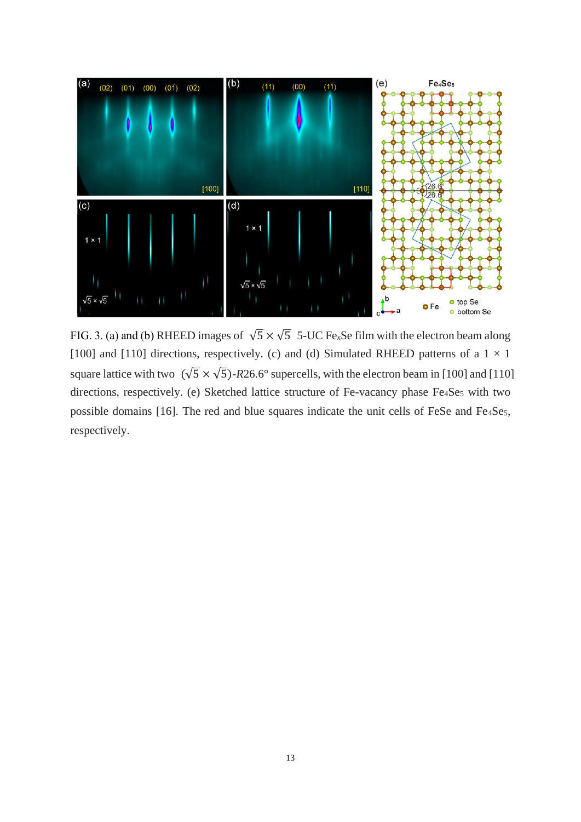

FIG. 3. (a) and (b) RHEED images of  $\sqrt{5} \times \sqrt{5}$  5-UC Fe<sub>x</sub>Se film with the electron beam along [100] and [110] directions, respectively. (c) and (d) Simulated RHEED patterns of a  $1 \times 1$ square lattice with two  $(\sqrt{5} \times \sqrt{5})$ -R26.6° supercells, with the electron beam in [100] and [110] directions, respectively. (e) Sketched lattice structure of Fe-vacancy phase Fe4Se5 with two possible domains [16]. The red and blue squares indicate the unit cells of FeSe and Fe<sub>4</sub>Se<sub>5</sub>, respectively.